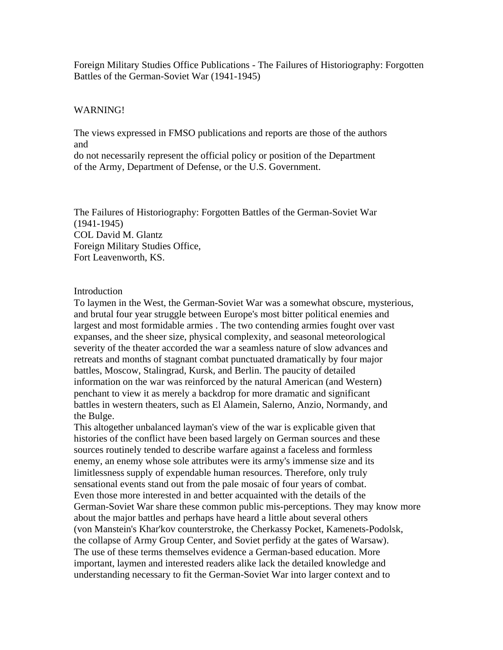Foreign Military Studies Office Publications - The Failures of Historiography: Forgotten Battles of the German-Soviet War (1941-1945)

## WARNING!

The views expressed in FMSO publications and reports are those of the authors and

do not necessarily represent the official policy or position of the Department of the Army, Department of Defense, or the U.S. Government.

The Failures of Historiography: Forgotten Battles of the German-Soviet War (1941-1945) COL David M. Glantz Foreign Military Studies Office, Fort Leavenworth, KS.

## Introduction

To laymen in the West, the German-Soviet War was a somewhat obscure, mysterious, and brutal four year struggle between Europe's most bitter political enemies and largest and most formidable armies . The two contending armies fought over vast expanses, and the sheer size, physical complexity, and seasonal meteorological severity of the theater accorded the war a seamless nature of slow advances and retreats and months of stagnant combat punctuated dramatically by four major battles, Moscow, Stalingrad, Kursk, and Berlin. The paucity of detailed information on the war was reinforced by the natural American (and Western) penchant to view it as merely a backdrop for more dramatic and significant battles in western theaters, such as El Alamein, Salerno, Anzio, Normandy, and the Bulge.

This altogether unbalanced layman's view of the war is explicable given that histories of the conflict have been based largely on German sources and these sources routinely tended to describe warfare against a faceless and formless enemy, an enemy whose sole attributes were its army's immense size and its limitlessness supply of expendable human resources. Therefore, only truly sensational events stand out from the pale mosaic of four years of combat. Even those more interested in and better acquainted with the details of the German-Soviet War share these common public mis-perceptions. They may know more about the major battles and perhaps have heard a little about several others (von Manstein's Khar'kov counterstroke, the Cherkassy Pocket, Kamenets-Podolsk, the collapse of Army Group Center, and Soviet perfidy at the gates of Warsaw). The use of these terms themselves evidence a German-based education. More important, laymen and interested readers alike lack the detailed knowledge and understanding necessary to fit the German-Soviet War into larger context and to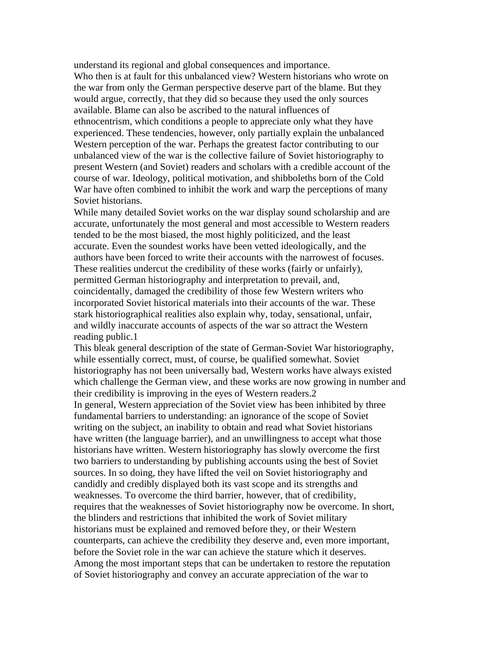understand its regional and global consequences and importance. Who then is at fault for this unbalanced view? Western historians who wrote on the war from only the German perspective deserve part of the blame. But they would argue, correctly, that they did so because they used the only sources available. Blame can also be ascribed to the natural influences of ethnocentrism, which conditions a people to appreciate only what they have experienced. These tendencies, however, only partially explain the unbalanced Western perception of the war. Perhaps the greatest factor contributing to our unbalanced view of the war is the collective failure of Soviet historiography to present Western (and Soviet) readers and scholars with a credible account of the course of war. Ideology, political motivation, and shibboleths born of the Cold War have often combined to inhibit the work and warp the perceptions of many Soviet historians.

While many detailed Soviet works on the war display sound scholarship and are accurate, unfortunately the most general and most accessible to Western readers tended to be the most biased, the most highly politicized, and the least accurate. Even the soundest works have been vetted ideologically, and the authors have been forced to write their accounts with the narrowest of focuses. These realities undercut the credibility of these works (fairly or unfairly), permitted German historiography and interpretation to prevail, and, coincidentally, damaged the credibility of those few Western writers who incorporated Soviet historical materials into their accounts of the war. These stark historiographical realities also explain why, today, sensational, unfair, and wildly inaccurate accounts of aspects of the war so attract the Western reading public.1

This bleak general description of the state of German-Soviet War historiography, while essentially correct, must, of course, be qualified somewhat. Soviet historiography has not been universally bad, Western works have always existed which challenge the German view, and these works are now growing in number and their credibility is improving in the eyes of Western readers.2 In general, Western appreciation of the Soviet view has been inhibited by three fundamental barriers to understanding: an ignorance of the scope of Soviet writing on the subject, an inability to obtain and read what Soviet historians have written (the language barrier), and an unwillingness to accept what those historians have written. Western historiography has slowly overcome the first two barriers to understanding by publishing accounts using the best of Soviet sources. In so doing, they have lifted the veil on Soviet historiography and candidly and credibly displayed both its vast scope and its strengths and weaknesses. To overcome the third barrier, however, that of credibility, requires that the weaknesses of Soviet historiography now be overcome. In short, the blinders and restrictions that inhibited the work of Soviet military historians must be explained and removed before they, or their Western counterparts, can achieve the credibility they deserve and, even more important, before the Soviet role in the war can achieve the stature which it deserves. Among the most important steps that can be undertaken to restore the reputation of Soviet historiography and convey an accurate appreciation of the war to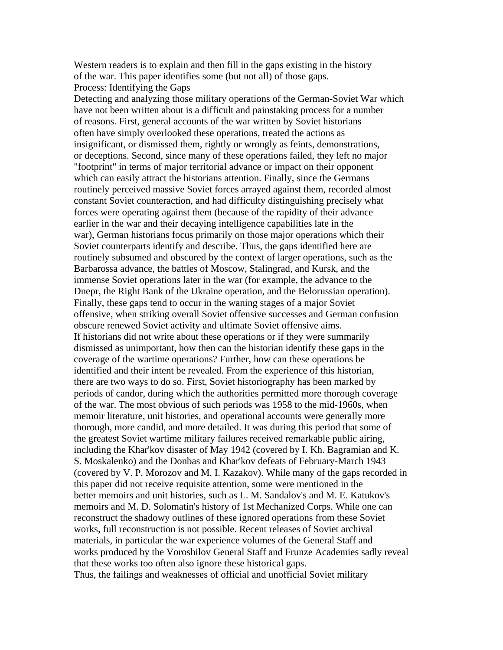Western readers is to explain and then fill in the gaps existing in the history of the war. This paper identifies some (but not all) of those gaps. Process: Identifying the Gaps

Detecting and analyzing those military operations of the German-Soviet War which have not been written about is a difficult and painstaking process for a number of reasons. First, general accounts of the war written by Soviet historians often have simply overlooked these operations, treated the actions as insignificant, or dismissed them, rightly or wrongly as feints, demonstrations, or deceptions. Second, since many of these operations failed, they left no major "footprint" in terms of major territorial advance or impact on their opponent which can easily attract the historians attention. Finally, since the Germans routinely perceived massive Soviet forces arrayed against them, recorded almost constant Soviet counteraction, and had difficulty distinguishing precisely what forces were operating against them (because of the rapidity of their advance earlier in the war and their decaying intelligence capabilities late in the war), German historians focus primarily on those major operations which their Soviet counterparts identify and describe. Thus, the gaps identified here are routinely subsumed and obscured by the context of larger operations, such as the Barbarossa advance, the battles of Moscow, Stalingrad, and Kursk, and the immense Soviet operations later in the war (for example, the advance to the Dnepr, the Right Bank of the Ukraine operation, and the Belorussian operation). Finally, these gaps tend to occur in the waning stages of a major Soviet offensive, when striking overall Soviet offensive successes and German confusion obscure renewed Soviet activity and ultimate Soviet offensive aims. If historians did not write about these operations or if they were summarily dismissed as unimportant, how then can the historian identify these gaps in the coverage of the wartime operations? Further, how can these operations be identified and their intent be revealed. From the experience of this historian, there are two ways to do so. First, Soviet historiography has been marked by periods of candor, during which the authorities permitted more thorough coverage of the war. The most obvious of such periods was 1958 to the mid-1960s, when memoir literature, unit histories, and operational accounts were generally more thorough, more candid, and more detailed. It was during this period that some of the greatest Soviet wartime military failures received remarkable public airing, including the Khar'kov disaster of May 1942 (covered by I. Kh. Bagramian and K. S. Moskalenko) and the Donbas and Khar'kov defeats of February-March 1943 (covered by V. P. Morozov and M. I. Kazakov). While many of the gaps recorded in this paper did not receive requisite attention, some were mentioned in the better memoirs and unit histories, such as L. M. Sandalov's and M. E. Katukov's memoirs and M. D. Solomatin's history of 1st Mechanized Corps. While one can reconstruct the shadowy outlines of these ignored operations from these Soviet works, full reconstruction is not possible. Recent releases of Soviet archival materials, in particular the war experience volumes of the General Staff and works produced by the Voroshilov General Staff and Frunze Academies sadly reveal that these works too often also ignore these historical gaps. Thus, the failings and weaknesses of official and unofficial Soviet military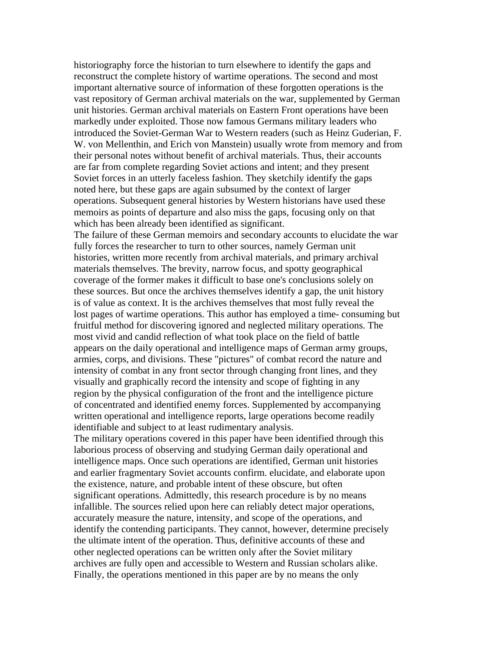historiography force the historian to turn elsewhere to identify the gaps and reconstruct the complete history of wartime operations. The second and most important alternative source of information of these forgotten operations is the vast repository of German archival materials on the war, supplemented by German unit histories. German archival materials on Eastern Front operations have been markedly under exploited. Those now famous Germans military leaders who introduced the Soviet-German War to Western readers (such as Heinz Guderian, F. W. von Mellenthin, and Erich von Manstein) usually wrote from memory and from their personal notes without benefit of archival materials. Thus, their accounts are far from complete regarding Soviet actions and intent; and they present Soviet forces in an utterly faceless fashion. They sketchily identify the gaps noted here, but these gaps are again subsumed by the context of larger operations. Subsequent general histories by Western historians have used these memoirs as points of departure and also miss the gaps, focusing only on that which has been already been identified as significant.

The failure of these German memoirs and secondary accounts to elucidate the war fully forces the researcher to turn to other sources, namely German unit histories, written more recently from archival materials, and primary archival materials themselves. The brevity, narrow focus, and spotty geographical coverage of the former makes it difficult to base one's conclusions solely on these sources. But once the archives themselves identify a gap, the unit history is of value as context. It is the archives themselves that most fully reveal the lost pages of wartime operations. This author has employed a time- consuming but fruitful method for discovering ignored and neglected military operations. The most vivid and candid reflection of what took place on the field of battle appears on the daily operational and intelligence maps of German army groups, armies, corps, and divisions. These "pictures" of combat record the nature and intensity of combat in any front sector through changing front lines, and they visually and graphically record the intensity and scope of fighting in any region by the physical configuration of the front and the intelligence picture of concentrated and identified enemy forces. Supplemented by accompanying written operational and intelligence reports, large operations become readily identifiable and subject to at least rudimentary analysis.

The military operations covered in this paper have been identified through this laborious process of observing and studying German daily operational and intelligence maps. Once such operations are identified, German unit histories and earlier fragmentary Soviet accounts confirm. elucidate, and elaborate upon the existence, nature, and probable intent of these obscure, but often significant operations. Admittedly, this research procedure is by no means infallible. The sources relied upon here can reliably detect major operations, accurately measure the nature, intensity, and scope of the operations, and identify the contending participants. They cannot, however, determine precisely the ultimate intent of the operation. Thus, definitive accounts of these and other neglected operations can be written only after the Soviet military archives are fully open and accessible to Western and Russian scholars alike. Finally, the operations mentioned in this paper are by no means the only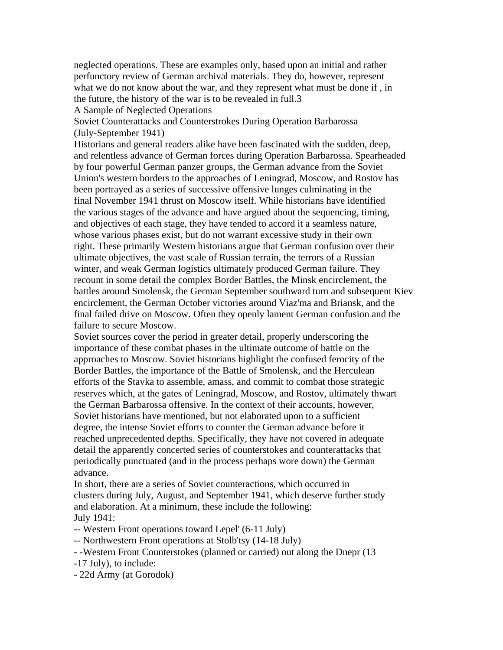neglected operations. These are examples only, based upon an initial and rather perfunctory review of German archival materials. They do, however, represent what we do not know about the war, and they represent what must be done if , in the future, the history of the war is to be revealed in full.3 A Sample of Neglected Operations

Soviet Counterattacks and Counterstrokes During Operation Barbarossa (July-September 1941)

Historians and general readers alike have been fascinated with the sudden, deep, and relentless advance of German forces during Operation Barbarossa. Spearheaded by four powerful German panzer groups, the German advance from the Soviet Union's western borders to the approaches of Leningrad, Moscow, and Rostov has been portrayed as a series of successive offensive lunges culminating in the final November 1941 thrust on Moscow itself. While historians have identified the various stages of the advance and have argued about the sequencing, timing, and objectives of each stage, they have tended to accord it a seamless nature, whose various phases exist, but do not warrant excessive study in their own right. These primarily Western historians argue that German confusion over their ultimate objectives, the vast scale of Russian terrain, the terrors of a Russian winter, and weak German logistics ultimately produced German failure. They recount in some detail the complex Border Battles, the Minsk encirclement, the battles around Smolensk, the German September southward turn and subsequent Kiev encirclement, the German October victories around Viaz'ma and Briansk, and the final failed drive on Moscow. Often they openly lament German confusion and the failure to secure Moscow.

Soviet sources cover the period in greater detail, properly underscoring the importance of these combat phases in the ultimate outcome of battle on the approaches to Moscow. Soviet historians highlight the confused ferocity of the Border Battles, the importance of the Battle of Smolensk, and the Herculean efforts of the Stavka to assemble, amass, and commit to combat those strategic reserves which, at the gates of Leningrad, Moscow, and Rostov, ultimately thwart the German Barbarossa offensive. In the context of their accounts, however, Soviet historians have mentioned, but not elaborated upon to a sufficient degree, the intense Soviet efforts to counter the German advance before it reached unprecedented depths. Specifically, they have not covered in adequate detail the apparently concerted series of counterstokes and counterattacks that periodically punctuated (and in the process perhaps wore down) the German advance.

In short, there are a series of Soviet counteractions, which occurred in clusters during July, August, and September 1941, which deserve further study and elaboration. At a minimum, these include the following: July 1941:

-- Western Front operations toward Lepel' (6-11 July)

-- Northwestern Front operations at Stolb'tsy (14-18 July)

- -Western Front Counterstokes (planned or carried) out along the Dnepr (13

-17 July), to include:

- 22d Army (at Gorodok)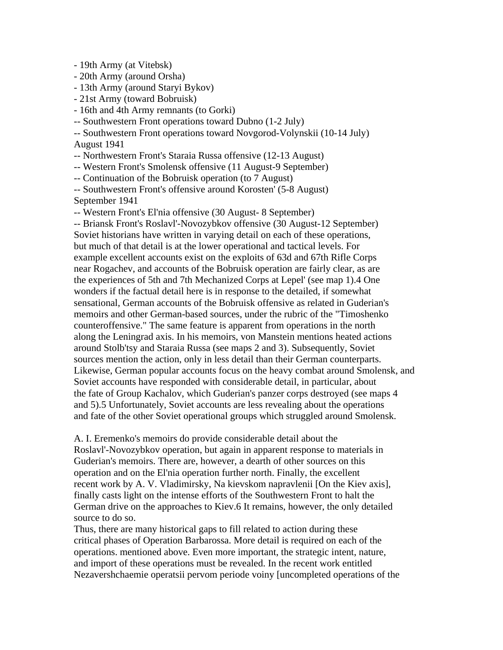- 19th Army (at Vitebsk)

- 20th Army (around Orsha)

- 13th Army (around Staryi Bykov)

- 21st Army (toward Bobruisk)

- 16th and 4th Army remnants (to Gorki)

-- Southwestern Front operations toward Dubno (1-2 July)

-- Southwestern Front operations toward Novgorod-Volynskii (10-14 July)

August 1941

-- Northwestern Front's Staraia Russa offensive (12-13 August)

-- Western Front's Smolensk offensive (11 August-9 September)

-- Continuation of the Bobruisk operation (to 7 August)

-- Southwestern Front's offensive around Korosten' (5-8 August) September 1941

-- Western Front's El'nia offensive (30 August- 8 September)

-- Briansk Front's Roslavl'-Novozybkov offensive (30 August-12 September) Soviet historians have written in varying detail on each of these operations, but much of that detail is at the lower operational and tactical levels. For example excellent accounts exist on the exploits of 63d and 67th Rifle Corps near Rogachev, and accounts of the Bobruisk operation are fairly clear, as are the experiences of 5th and 7th Mechanized Corps at Lepel' (see map 1).4 One wonders if the factual detail here is in response to the detailed, if somewhat sensational, German accounts of the Bobruisk offensive as related in Guderian's memoirs and other German-based sources, under the rubric of the "Timoshenko counteroffensive." The same feature is apparent from operations in the north along the Leningrad axis. In his memoirs, von Manstein mentions heated actions around Stolb'tsy and Staraia Russa (see maps 2 and 3). Subsequently, Soviet sources mention the action, only in less detail than their German counterparts. Likewise, German popular accounts focus on the heavy combat around Smolensk, and Soviet accounts have responded with considerable detail, in particular, about the fate of Group Kachalov, which Guderian's panzer corps destroyed (see maps 4 and 5).5 Unfortunately, Soviet accounts are less revealing about the operations and fate of the other Soviet operational groups which struggled around Smolensk.

A. I. Eremenko's memoirs do provide considerable detail about the Roslavl'-Novozybkov operation, but again in apparent response to materials in Guderian's memoirs. There are, however, a dearth of other sources on this operation and on the El'nia operation further north. Finally, the excellent recent work by A. V. Vladimirsky, Na kievskom napravlenii [On the Kiev axis], finally casts light on the intense efforts of the Southwestern Front to halt the German drive on the approaches to Kiev.6 It remains, however, the only detailed source to do so.

Thus, there are many historical gaps to fill related to action during these critical phases of Operation Barbarossa. More detail is required on each of the operations. mentioned above. Even more important, the strategic intent, nature, and import of these operations must be revealed. In the recent work entitled Nezavershchaemie operatsii pervom periode voiny [uncompleted operations of the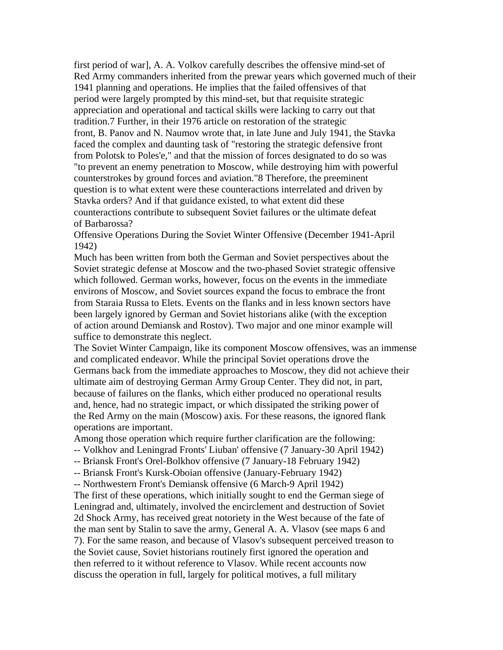first period of war], A. A. Volkov carefully describes the offensive mind-set of Red Army commanders inherited from the prewar years which governed much of their 1941 planning and operations. He implies that the failed offensives of that period were largely prompted by this mind-set, but that requisite strategic appreciation and operational and tactical skills were lacking to carry out that tradition.7 Further, in their 1976 article on restoration of the strategic front, B. Panov and N. Naumov wrote that, in late June and July 1941, the Stavka faced the complex and daunting task of "restoring the strategic defensive front from Polotsk to Poles'e," and that the mission of forces designated to do so was "to prevent an enemy penetration to Moscow, while destroying him with powerful counterstrokes by ground forces and aviation."8 Therefore, the preeminent question is to what extent were these counteractions interrelated and driven by Stavka orders? And if that guidance existed, to what extent did these counteractions contribute to subsequent Soviet failures or the ultimate defeat of Barbarossa?

Offensive Operations During the Soviet Winter Offensive (December 1941-April 1942)

Much has been written from both the German and Soviet perspectives about the Soviet strategic defense at Moscow and the two-phased Soviet strategic offensive which followed. German works, however, focus on the events in the immediate environs of Moscow, and Soviet sources expand the focus to embrace the front from Staraia Russa to Elets. Events on the flanks and in less known sectors have been largely ignored by German and Soviet historians alike (with the exception of action around Demiansk and Rostov). Two major and one minor example will suffice to demonstrate this neglect.

The Soviet Winter Campaign, like its component Moscow offensives, was an immense and complicated endeavor. While the principal Soviet operations drove the Germans back from the immediate approaches to Moscow, they did not achieve their ultimate aim of destroying German Army Group Center. They did not, in part, because of failures on the flanks, which either produced no operational results and, hence, had no strategic impact, or which dissipated the striking power of the Red Army on the main (Moscow) axis. For these reasons, the ignored flank operations are important.

Among those operation which require further clarification are the following:

- -- Volkhov and Leningrad Fronts' Liuban' offensive (7 January-30 April 1942)
- -- Briansk Front's Orel-Bolkhov offensive (7 January-18 February 1942)
- -- Briansk Front's Kursk-Oboian offensive (January-February 1942)
- -- Northwestern Front's Demiansk offensive (6 March-9 April 1942)

The first of these operations, which initially sought to end the German siege of Leningrad and, ultimately, involved the encirclement and destruction of Soviet 2d Shock Army, has received great notoriety in the West because of the fate of the man sent by Stalin to save the army, General A. A. Vlasov (see maps 6 and 7). For the same reason, and because of Vlasov's subsequent perceived treason to the Soviet cause, Soviet historians routinely first ignored the operation and then referred to it without reference to Vlasov. While recent accounts now discuss the operation in full, largely for political motives, a full military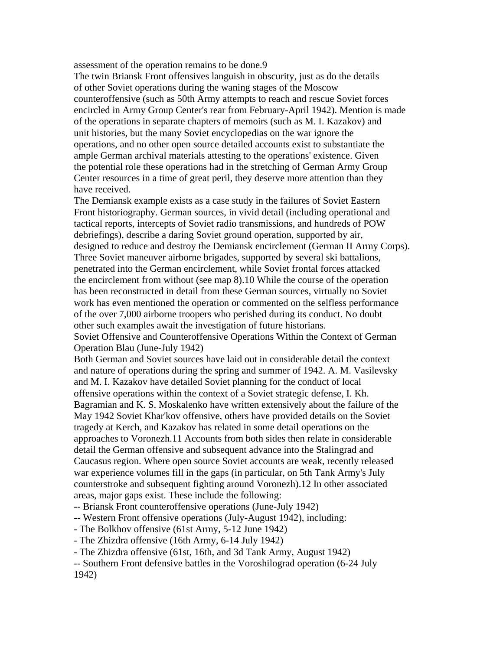assessment of the operation remains to be done.9

The twin Briansk Front offensives languish in obscurity, just as do the details of other Soviet operations during the waning stages of the Moscow counteroffensive (such as 50th Army attempts to reach and rescue Soviet forces encircled in Army Group Center's rear from February-April 1942). Mention is made of the operations in separate chapters of memoirs (such as M. I. Kazakov) and unit histories, but the many Soviet encyclopedias on the war ignore the operations, and no other open source detailed accounts exist to substantiate the ample German archival materials attesting to the operations' existence. Given the potential role these operations had in the stretching of German Army Group Center resources in a time of great peril, they deserve more attention than they have received.

The Demiansk example exists as a case study in the failures of Soviet Eastern Front historiography. German sources, in vivid detail (including operational and tactical reports, intercepts of Soviet radio transmissions, and hundreds of POW debriefings), describe a daring Soviet ground operation, supported by air, designed to reduce and destroy the Demiansk encirclement (German II Army Corps). Three Soviet maneuver airborne brigades, supported by several ski battalions, penetrated into the German encirclement, while Soviet frontal forces attacked the encirclement from without (see map 8).10 While the course of the operation has been reconstructed in detail from these German sources, virtually no Soviet work has even mentioned the operation or commented on the selfless performance of the over 7,000 airborne troopers who perished during its conduct. No doubt other such examples await the investigation of future historians.

Soviet Offensive and Counteroffensive Operations Within the Context of German Operation Blau (June-July 1942)

Both German and Soviet sources have laid out in considerable detail the context and nature of operations during the spring and summer of 1942. A. M. Vasilevsky and M. I. Kazakov have detailed Soviet planning for the conduct of local offensive operations within the context of a Soviet strategic defense, I. Kh. Bagramian and K. S. Moskalenko have written extensively about the failure of the May 1942 Soviet Khar'kov offensive, others have provided details on the Soviet tragedy at Kerch, and Kazakov has related in some detail operations on the approaches to Voronezh.11 Accounts from both sides then relate in considerable detail the German offensive and subsequent advance into the Stalingrad and Caucasus region. Where open source Soviet accounts are weak, recently released war experience volumes fill in the gaps (in particular, on 5th Tank Army's July counterstroke and subsequent fighting around Voronezh).12 In other associated areas, major gaps exist. These include the following:

-- Briansk Front counteroffensive operations (June-July 1942)

-- Western Front offensive operations (July-August 1942), including:

- The Bolkhov offensive (61st Army, 5-12 June 1942)

- The Zhizdra offensive (16th Army, 6-14 July 1942)

- The Zhizdra offensive (61st, 16th, and 3d Tank Army, August 1942)

-- Southern Front defensive battles in the Voroshilograd operation (6-24 July 1942)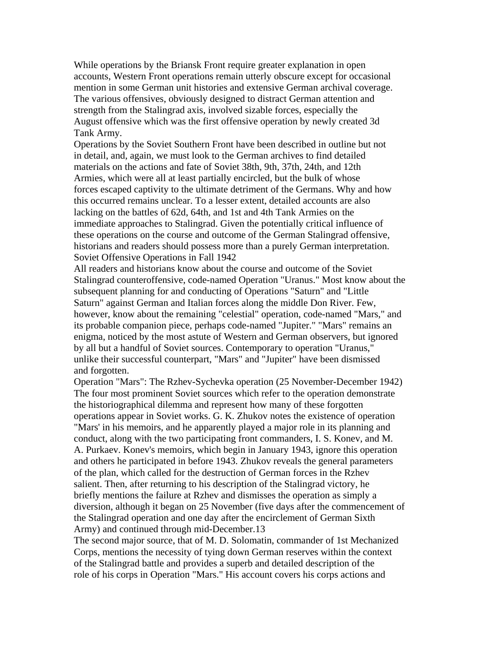While operations by the Briansk Front require greater explanation in open accounts, Western Front operations remain utterly obscure except for occasional mention in some German unit histories and extensive German archival coverage. The various offensives, obviously designed to distract German attention and strength from the Stalingrad axis, involved sizable forces, especially the August offensive which was the first offensive operation by newly created 3d Tank Army.

Operations by the Soviet Southern Front have been described in outline but not in detail, and, again, we must look to the German archives to find detailed materials on the actions and fate of Soviet 38th, 9th, 37th, 24th, and 12th Armies, which were all at least partially encircled, but the bulk of whose forces escaped captivity to the ultimate detriment of the Germans. Why and how this occurred remains unclear. To a lesser extent, detailed accounts are also lacking on the battles of 62d, 64th, and 1st and 4th Tank Armies on the immediate approaches to Stalingrad. Given the potentially critical influence of these operations on the course and outcome of the German Stalingrad offensive, historians and readers should possess more than a purely German interpretation. Soviet Offensive Operations in Fall 1942

All readers and historians know about the course and outcome of the Soviet Stalingrad counteroffensive, code-named Operation "Uranus." Most know about the subsequent planning for and conducting of Operations "Saturn" and "Little Saturn" against German and Italian forces along the middle Don River. Few, however, know about the remaining "celestial" operation, code-named "Mars," and its probable companion piece, perhaps code-named "Jupiter." "Mars" remains an enigma, noticed by the most astute of Western and German observers, but ignored by all but a handful of Soviet sources. Contemporary to operation "Uranus," unlike their successful counterpart, "Mars" and "Jupiter" have been dismissed and forgotten.

Operation "Mars": The Rzhev-Sychevka operation (25 November-December 1942) The four most prominent Soviet sources which refer to the operation demonstrate the historiographical dilemma and represent how many of these forgotten operations appear in Soviet works. G. K. Zhukov notes the existence of operation "Mars' in his memoirs, and he apparently played a major role in its planning and conduct, along with the two participating front commanders, I. S. Konev, and M. A. Purkaev. Konev's memoirs, which begin in January 1943, ignore this operation and others he participated in before 1943. Zhukov reveals the general parameters of the plan, which called for the destruction of German forces in the Rzhev salient. Then, after returning to his description of the Stalingrad victory, he briefly mentions the failure at Rzhev and dismisses the operation as simply a diversion, although it began on 25 November (five days after the commencement of the Stalingrad operation and one day after the encirclement of German Sixth Army) and continued through mid-December.13

The second major source, that of M. D. Solomatin, commander of 1st Mechanized Corps, mentions the necessity of tying down German reserves within the context of the Stalingrad battle and provides a superb and detailed description of the role of his corps in Operation "Mars." His account covers his corps actions and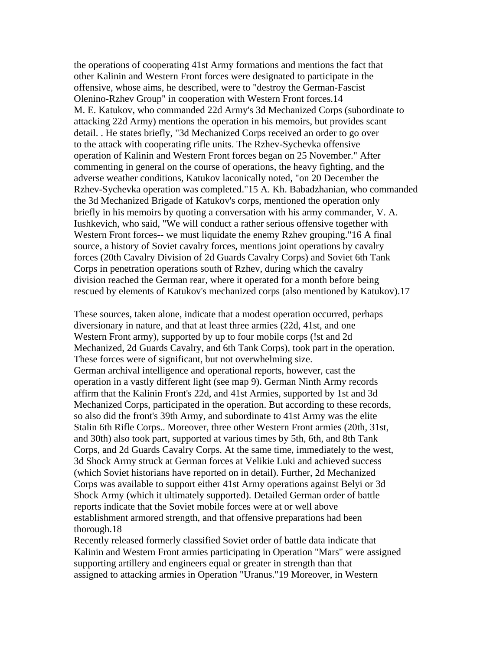the operations of cooperating 41st Army formations and mentions the fact that other Kalinin and Western Front forces were designated to participate in the offensive, whose aims, he described, were to "destroy the German-Fascist Olenino-Rzhev Group" in cooperation with Western Front forces.14 M. E. Katukov, who commanded 22d Army's 3d Mechanized Corps (subordinate to attacking 22d Army) mentions the operation in his memoirs, but provides scant detail. . He states briefly, "3d Mechanized Corps received an order to go over to the attack with cooperating rifle units. The Rzhev-Sychevka offensive operation of Kalinin and Western Front forces began on 25 November." After commenting in general on the course of operations, the heavy fighting, and the adverse weather conditions, Katukov laconically noted, "on 20 December the Rzhev-Sychevka operation was completed."15 A. Kh. Babadzhanian, who commanded the 3d Mechanized Brigade of Katukov's corps, mentioned the operation only briefly in his memoirs by quoting a conversation with his army commander, V. A. Iushkevich, who said, "We will conduct a rather serious offensive together with Western Front forces-- we must liquidate the enemy Rzhev grouping."16 A final source, a history of Soviet cavalry forces, mentions joint operations by cavalry forces (20th Cavalry Division of 2d Guards Cavalry Corps) and Soviet 6th Tank Corps in penetration operations south of Rzhev, during which the cavalry division reached the German rear, where it operated for a month before being rescued by elements of Katukov's mechanized corps (also mentioned by Katukov).17

These sources, taken alone, indicate that a modest operation occurred, perhaps diversionary in nature, and that at least three armies (22d, 41st, and one Western Front army), supported by up to four mobile corps (!st and 2d Mechanized, 2d Guards Cavalry, and 6th Tank Corps), took part in the operation. These forces were of significant, but not overwhelming size. German archival intelligence and operational reports, however, cast the operation in a vastly different light (see map 9). German Ninth Army records affirm that the Kalinin Front's 22d, and 41st Armies, supported by 1st and 3d Mechanized Corps, participated in the operation. But according to these records, so also did the front's 39th Army, and subordinate to 41st Army was the elite Stalin 6th Rifle Corps.. Moreover, three other Western Front armies (20th, 31st, and 30th) also took part, supported at various times by 5th, 6th, and 8th Tank Corps, and 2d Guards Cavalry Corps. At the same time, immediately to the west, 3d Shock Army struck at German forces at Velikie Luki and achieved success (which Soviet historians have reported on in detail). Further, 2d Mechanized Corps was available to support either 41st Army operations against Belyi or 3d Shock Army (which it ultimately supported). Detailed German order of battle reports indicate that the Soviet mobile forces were at or well above establishment armored strength, and that offensive preparations had been thorough.18

Recently released formerly classified Soviet order of battle data indicate that Kalinin and Western Front armies participating in Operation "Mars" were assigned supporting artillery and engineers equal or greater in strength than that assigned to attacking armies in Operation "Uranus."19 Moreover, in Western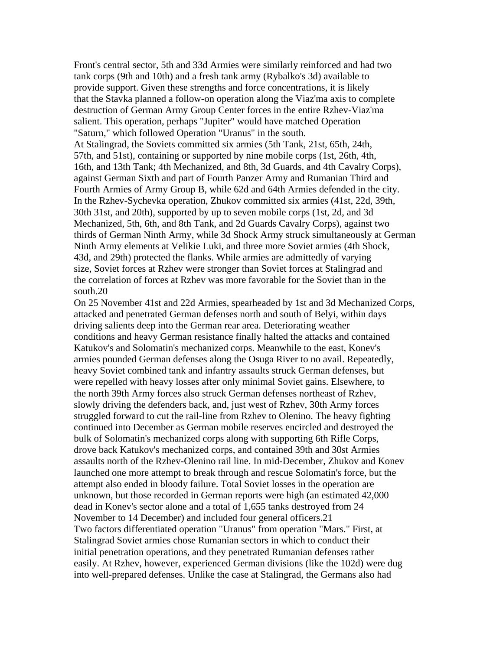Front's central sector, 5th and 33d Armies were similarly reinforced and had two tank corps (9th and 10th) and a fresh tank army (Rybalko's 3d) available to provide support. Given these strengths and force concentrations, it is likely that the Stavka planned a follow-on operation along the Viaz'ma axis to complete destruction of German Army Group Center forces in the entire Rzhev-Viaz'ma salient. This operation, perhaps "Jupiter" would have matched Operation "Saturn," which followed Operation "Uranus" in the south.

At Stalingrad, the Soviets committed six armies (5th Tank, 21st, 65th, 24th, 57th, and 51st), containing or supported by nine mobile corps (1st, 26th, 4th, 16th, and 13th Tank; 4th Mechanized, and 8th, 3d Guards, and 4th Cavalry Corps), against German Sixth and part of Fourth Panzer Army and Rumanian Third and Fourth Armies of Army Group B, while 62d and 64th Armies defended in the city. In the Rzhev-Sychevka operation, Zhukov committed six armies (41st, 22d, 39th, 30th 31st, and 20th), supported by up to seven mobile corps (1st, 2d, and 3d Mechanized, 5th, 6th, and 8th Tank, and 2d Guards Cavalry Corps), against two thirds of German Ninth Army, while 3d Shock Army struck simultaneously at German Ninth Army elements at Velikie Luki, and three more Soviet armies (4th Shock, 43d, and 29th) protected the flanks. While armies are admittedly of varying size, Soviet forces at Rzhev were stronger than Soviet forces at Stalingrad and the correlation of forces at Rzhev was more favorable for the Soviet than in the south.20

On 25 November 41st and 22d Armies, spearheaded by 1st and 3d Mechanized Corps, attacked and penetrated German defenses north and south of Belyi, within days driving salients deep into the German rear area. Deteriorating weather conditions and heavy German resistance finally halted the attacks and contained Katukov's and Solomatin's mechanized corps. Meanwhile to the east, Konev's armies pounded German defenses along the Osuga River to no avail. Repeatedly, heavy Soviet combined tank and infantry assaults struck German defenses, but were repelled with heavy losses after only minimal Soviet gains. Elsewhere, to the north 39th Army forces also struck German defenses northeast of Rzhev, slowly driving the defenders back, and, just west of Rzhev, 30th Army forces struggled forward to cut the rail-line from Rzhev to Olenino. The heavy fighting continued into December as German mobile reserves encircled and destroyed the bulk of Solomatin's mechanized corps along with supporting 6th Rifle Corps, drove back Katukov's mechanized corps, and contained 39th and 30st Armies assaults north of the Rzhev-Olenino rail line. In mid-December, Zhukov and Konev launched one more attempt to break through and rescue Solomatin's force, but the attempt also ended in bloody failure. Total Soviet losses in the operation are unknown, but those recorded in German reports were high (an estimated 42,000 dead in Konev's sector alone and a total of 1,655 tanks destroyed from 24 November to 14 December) and included four general officers.21 Two factors differentiated operation "Uranus" from operation "Mars." First, at Stalingrad Soviet armies chose Rumanian sectors in which to conduct their initial penetration operations, and they penetrated Rumanian defenses rather easily. At Rzhev, however, experienced German divisions (like the 102d) were dug into well-prepared defenses. Unlike the case at Stalingrad, the Germans also had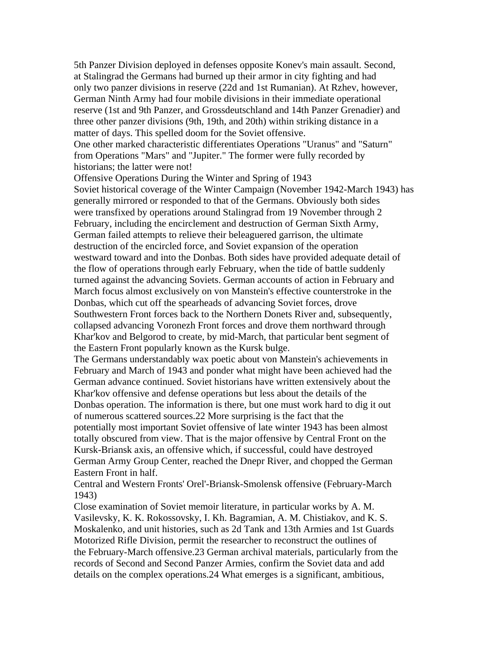5th Panzer Division deployed in defenses opposite Konev's main assault. Second, at Stalingrad the Germans had burned up their armor in city fighting and had only two panzer divisions in reserve (22d and 1st Rumanian). At Rzhev, however, German Ninth Army had four mobile divisions in their immediate operational reserve (1st and 9th Panzer, and Grossdeutschland and 14th Panzer Grenadier) and three other panzer divisions (9th, 19th, and 20th) within striking distance in a matter of days. This spelled doom for the Soviet offensive.

One other marked characteristic differentiates Operations "Uranus" and "Saturn" from Operations "Mars" and "Jupiter." The former were fully recorded by historians; the latter were not!

Offensive Operations During the Winter and Spring of 1943 Soviet historical coverage of the Winter Campaign (November 1942-March 1943) has generally mirrored or responded to that of the Germans. Obviously both sides were transfixed by operations around Stalingrad from 19 November through 2 February, including the encirclement and destruction of German Sixth Army, German failed attempts to relieve their beleaguered garrison, the ultimate destruction of the encircled force, and Soviet expansion of the operation westward toward and into the Donbas. Both sides have provided adequate detail of the flow of operations through early February, when the tide of battle suddenly turned against the advancing Soviets. German accounts of action in February and March focus almost exclusively on von Manstein's effective counterstroke in the Donbas, which cut off the spearheads of advancing Soviet forces, drove Southwestern Front forces back to the Northern Donets River and, subsequently, collapsed advancing Voronezh Front forces and drove them northward through Khar'kov and Belgorod to create, by mid-March, that particular bent segment of the Eastern Front popularly known as the Kursk bulge.

The Germans understandably wax poetic about von Manstein's achievements in February and March of 1943 and ponder what might have been achieved had the German advance continued. Soviet historians have written extensively about the Khar'kov offensive and defense operations but less about the details of the Donbas operation. The information is there, but one must work hard to dig it out of numerous scattered sources.22 More surprising is the fact that the potentially most important Soviet offensive of late winter 1943 has been almost totally obscured from view. That is the major offensive by Central Front on the Kursk-Briansk axis, an offensive which, if successful, could have destroyed German Army Group Center, reached the Dnepr River, and chopped the German

Eastern Front in half.

Central and Western Fronts' Orel'-Briansk-Smolensk offensive (February-March 1943)

Close examination of Soviet memoir literature, in particular works by A. M. Vasilevsky, K. K. Rokossovsky, I. Kh. Bagramian, A. M. Chistiakov, and K. S. Moskalenko, and unit histories, such as 2d Tank and 13th Armies and 1st Guards Motorized Rifle Division, permit the researcher to reconstruct the outlines of the February-March offensive.23 German archival materials, particularly from the records of Second and Second Panzer Armies, confirm the Soviet data and add details on the complex operations.24 What emerges is a significant, ambitious,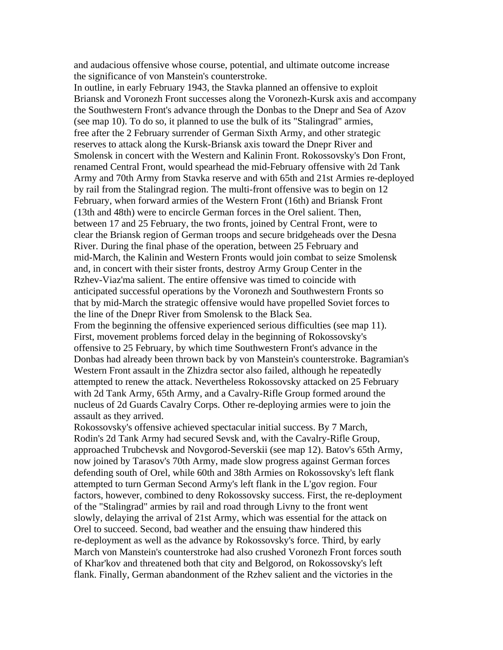and audacious offensive whose course, potential, and ultimate outcome increase the significance of von Manstein's counterstroke.

In outline, in early February 1943, the Stavka planned an offensive to exploit Briansk and Voronezh Front successes along the Voronezh-Kursk axis and accompany the Southwestern Front's advance through the Donbas to the Dnepr and Sea of Azov (see map 10). To do so, it planned to use the bulk of its "Stalingrad" armies, free after the 2 February surrender of German Sixth Army, and other strategic reserves to attack along the Kursk-Briansk axis toward the Dnepr River and Smolensk in concert with the Western and Kalinin Front. Rokossovsky's Don Front, renamed Central Front, would spearhead the mid-February offensive with 2d Tank Army and 70th Army from Stavka reserve and with 65th and 21st Armies re-deployed by rail from the Stalingrad region. The multi-front offensive was to begin on 12 February, when forward armies of the Western Front (16th) and Briansk Front (13th and 48th) were to encircle German forces in the Orel salient. Then, between 17 and 25 February, the two fronts, joined by Central Front, were to clear the Briansk region of German troops and secure bridgeheads over the Desna River. During the final phase of the operation, between 25 February and mid-March, the Kalinin and Western Fronts would join combat to seize Smolensk and, in concert with their sister fronts, destroy Army Group Center in the Rzhev-Viaz'ma salient. The entire offensive was timed to coincide with anticipated successful operations by the Voronezh and Southwestern Fronts so that by mid-March the strategic offensive would have propelled Soviet forces to the line of the Dnepr River from Smolensk to the Black Sea. From the beginning the offensive experienced serious difficulties (see map 11). First, movement problems forced delay in the beginning of Rokossovsky's offensive to 25 February, by which time Southwestern Front's advance in the Donbas had already been thrown back by von Manstein's counterstroke. Bagramian's Western Front assault in the Zhizdra sector also failed, although he repeatedly attempted to renew the attack. Nevertheless Rokossovsky attacked on 25 February with 2d Tank Army, 65th Army, and a Cavalry-Rifle Group formed around the nucleus of 2d Guards Cavalry Corps. Other re-deploying armies were to join the assault as they arrived.

Rokossovsky's offensive achieved spectacular initial success. By 7 March, Rodin's 2d Tank Army had secured Sevsk and, with the Cavalry-Rifle Group, approached Trubchevsk and Novgorod-Severskii (see map 12). Batov's 65th Army, now joined by Tarasov's 70th Army, made slow progress against German forces defending south of Orel, while 60th and 38th Armies on Rokossovsky's left flank attempted to turn German Second Army's left flank in the L'gov region. Four factors, however, combined to deny Rokossovsky success. First, the re-deployment of the "Stalingrad" armies by rail and road through Livny to the front went slowly, delaying the arrival of 21st Army, which was essential for the attack on Orel to succeed. Second, bad weather and the ensuing thaw hindered this re-deployment as well as the advance by Rokossovsky's force. Third, by early March von Manstein's counterstroke had also crushed Voronezh Front forces south of Khar'kov and threatened both that city and Belgorod, on Rokossovsky's left flank. Finally, German abandonment of the Rzhev salient and the victories in the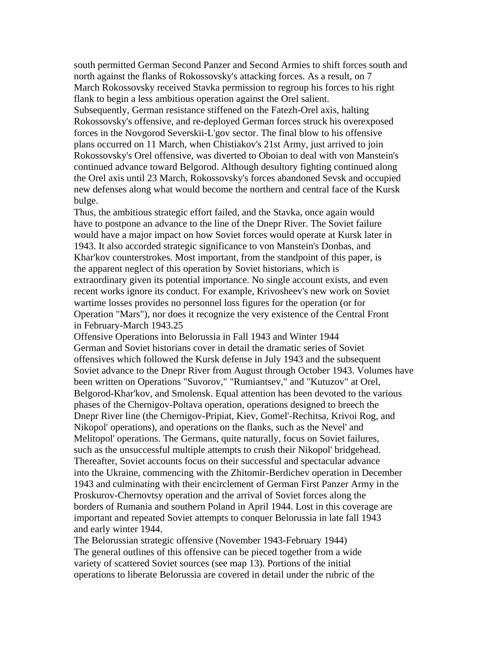south permitted German Second Panzer and Second Armies to shift forces south and north against the flanks of Rokossovsky's attacking forces. As a result, on 7 March Rokossovsky received Stavka permission to regroup his forces to his right flank to begin a less ambitious operation against the Orel salient. Subsequently, German resistance stiffened on the Fatezh-Orel axis, halting Rokossovsky's offensive, and re-deployed German forces struck his overexposed forces in the Novgorod Severskii-L'gov sector. The final blow to his offensive plans occurred on 11 March, when Chistiakov's 21st Army, just arrived to join Rokossovsky's Orel offensive, was diverted to Oboian to deal with von Manstein's continued advance toward Belgorod. Although desultory fighting continued along the Orel axis until 23 March, Rokossovsky's forces abandoned Sevsk and occupied new defenses along what would become the northern and central face of the Kursk bulge.

Thus, the ambitious strategic effort failed, and the Stavka, once again would have to postpone an advance to the line of the Dnepr River. The Soviet failure would have a major impact on how Soviet forces would operate at Kursk later in 1943. It also accorded strategic significance to von Manstein's Donbas, and Khar'kov counterstrokes. Most important, from the standpoint of this paper, is the apparent neglect of this operation by Soviet historians, which is extraordinary given its potential importance. No single account exists, and even recent works ignore its conduct. For example, Krivosheev's new work on Soviet wartime losses provides no personnel loss figures for the operation (or for Operation "Mars"), nor does it recognize the very existence of the Central Front in February-March 1943.25

Offensive Operations into Belorussia in Fall 1943 and Winter 1944 German and Soviet historians cover in detail the dramatic series of Soviet offensives which followed the Kursk defense in July 1943 and the subsequent Soviet advance to the Dnepr River from August through October 1943. Volumes have been written on Operations "Suvorov," "Rumiantsev," and "Kutuzov" at Orel, Belgorod-Khar'kov, and Smolensk. Equal attention has been devoted to the various phases of the Chernigov-Poltava operation, operations designed to breech the Dnepr River line (the Chernigov-Pripiat, Kiev, Gomel'-Rechitsa, Krivoi Rog, and Nikopol' operations), and operations on the flanks, such as the Nevel' and Melitopol' operations. The Germans, quite naturally, focus on Soviet failures, such as the unsuccessful multiple attempts to crush their Nikopol' bridgehead. Thereafter, Soviet accounts focus on their successful and spectacular advance into the Ukraine, commencing with the Zhitomir-Berdichev operation in December 1943 and culminating with their encirclement of German First Panzer Army in the Proskurov-Chernovtsy operation and the arrival of Soviet forces along the borders of Rumania and southern Poland in April 1944. Lost in this coverage are important and repeated Soviet attempts to conquer Belorussia in late fall 1943 and early winter 1944.

The Belorussian strategic offensive (November 1943-February 1944) The general outlines of this offensive can be pieced together from a wide variety of scattered Soviet sources (see map 13). Portions of the initial operations to liberate Belorussia are covered in detail under the rubric of the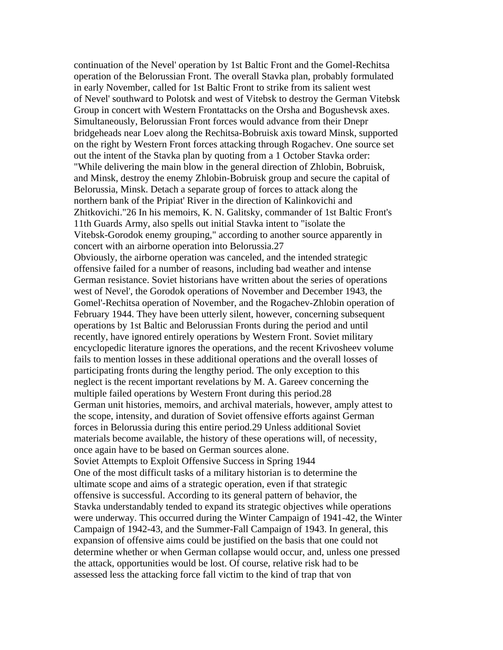continuation of the Nevel' operation by 1st Baltic Front and the Gomel-Rechitsa operation of the Belorussian Front. The overall Stavka plan, probably formulated in early November, called for 1st Baltic Front to strike from its salient west of Nevel' southward to Polotsk and west of Vitebsk to destroy the German Vitebsk Group in concert with Western Frontattacks on the Orsha and Bogushevsk axes. Simultaneously, Belorussian Front forces would advance from their Dnepr bridgeheads near Loev along the Rechitsa-Bobruisk axis toward Minsk, supported on the right by Western Front forces attacking through Rogachev. One source set out the intent of the Stavka plan by quoting from a 1 October Stavka order: "While delivering the main blow in the general direction of Zhlobin, Bobruisk, and Minsk, destroy the enemy Zhlobin-Bobruisk group and secure the capital of Belorussia, Minsk. Detach a separate group of forces to attack along the northern bank of the Pripiat' River in the direction of Kalinkovichi and Zhitkovichi."26 In his memoirs, K. N. Galitsky, commander of 1st Baltic Front's 11th Guards Army, also spells out initial Stavka intent to "isolate the Vitebsk-Gorodok enemy grouping," according to another source apparently in concert with an airborne operation into Belorussia.27 Obviously, the airborne operation was canceled, and the intended strategic offensive failed for a number of reasons, including bad weather and intense German resistance. Soviet historians have written about the series of operations west of Nevel', the Gorodok operations of November and December 1943, the Gomel'-Rechitsa operation of November, and the Rogachev-Zhlobin operation of February 1944. They have been utterly silent, however, concerning subsequent operations by 1st Baltic and Belorussian Fronts during the period and until recently, have ignored entirely operations by Western Front. Soviet military encyclopedic literature ignores the operations, and the recent Krivosheev volume fails to mention losses in these additional operations and the overall losses of participating fronts during the lengthy period. The only exception to this neglect is the recent important revelations by M. A. Gareev concerning the multiple failed operations by Western Front during this period.28 German unit histories, memoirs, and archival materials, however, amply attest to the scope, intensity, and duration of Soviet offensive efforts against German forces in Belorussia during this entire period.29 Unless additional Soviet materials become available, the history of these operations will, of necessity, once again have to be based on German sources alone. Soviet Attempts to Exploit Offensive Success in Spring 1944 One of the most difficult tasks of a military historian is to determine the ultimate scope and aims of a strategic operation, even if that strategic offensive is successful. According to its general pattern of behavior, the Stavka understandably tended to expand its strategic objectives while operations were underway. This occurred during the Winter Campaign of 1941-42, the Winter Campaign of 1942-43, and the Summer-Fall Campaign of 1943. In general, this expansion of offensive aims could be justified on the basis that one could not determine whether or when German collapse would occur, and, unless one pressed the attack, opportunities would be lost. Of course, relative risk had to be assessed less the attacking force fall victim to the kind of trap that von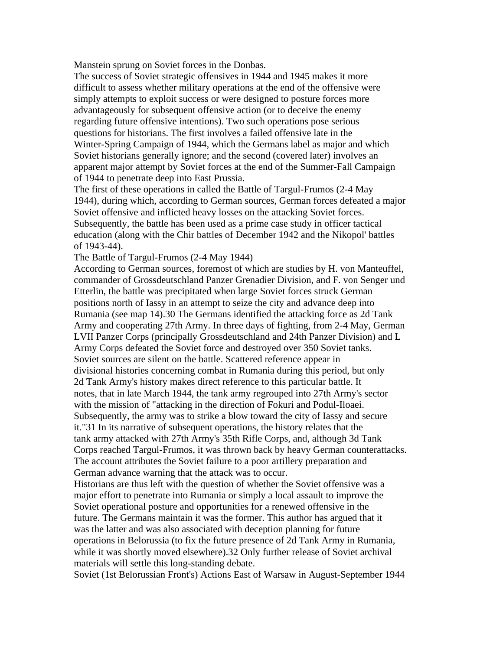Manstein sprung on Soviet forces in the Donbas.

The success of Soviet strategic offensives in 1944 and 1945 makes it more difficult to assess whether military operations at the end of the offensive were simply attempts to exploit success or were designed to posture forces more advantageously for subsequent offensive action (or to deceive the enemy regarding future offensive intentions). Two such operations pose serious questions for historians. The first involves a failed offensive late in the Winter-Spring Campaign of 1944, which the Germans label as major and which Soviet historians generally ignore; and the second (covered later) involves an apparent major attempt by Soviet forces at the end of the Summer-Fall Campaign of 1944 to penetrate deep into East Prussia.

The first of these operations in called the Battle of Targul-Frumos (2-4 May 1944), during which, according to German sources, German forces defeated a major Soviet offensive and inflicted heavy losses on the attacking Soviet forces. Subsequently, the battle has been used as a prime case study in officer tactical education (along with the Chir battles of December 1942 and the Nikopol' battles of 1943-44).

The Battle of Targul-Frumos (2-4 May 1944)

According to German sources, foremost of which are studies by H. von Manteuffel, commander of Grossdeutschland Panzer Grenadier Division, and F. von Senger und Etterlin, the battle was precipitated when large Soviet forces struck German positions north of Iassy in an attempt to seize the city and advance deep into Rumania (see map 14).30 The Germans identified the attacking force as 2d Tank Army and cooperating 27th Army. In three days of fighting, from 2-4 May, German LVII Panzer Corps (principally Grossdeutschland and 24th Panzer Division) and L Army Corps defeated the Soviet force and destroyed over 350 Soviet tanks. Soviet sources are silent on the battle. Scattered reference appear in divisional histories concerning combat in Rumania during this period, but only 2d Tank Army's history makes direct reference to this particular battle. It notes, that in late March 1944, the tank army regrouped into 27th Army's sector with the mission of "attacking in the direction of Fokuri and Podul-Iloaei. Subsequently, the army was to strike a blow toward the city of Iassy and secure it."31 In its narrative of subsequent operations, the history relates that the tank army attacked with 27th Army's 35th Rifle Corps, and, although 3d Tank Corps reached Targul-Frumos, it was thrown back by heavy German counterattacks. The account attributes the Soviet failure to a poor artillery preparation and German advance warning that the attack was to occur.

Historians are thus left with the question of whether the Soviet offensive was a major effort to penetrate into Rumania or simply a local assault to improve the Soviet operational posture and opportunities for a renewed offensive in the future. The Germans maintain it was the former. This author has argued that it was the latter and was also associated with deception planning for future operations in Belorussia (to fix the future presence of 2d Tank Army in Rumania, while it was shortly moved elsewhere).32 Only further release of Soviet archival materials will settle this long-standing debate.

Soviet (1st Belorussian Front's) Actions East of Warsaw in August-September 1944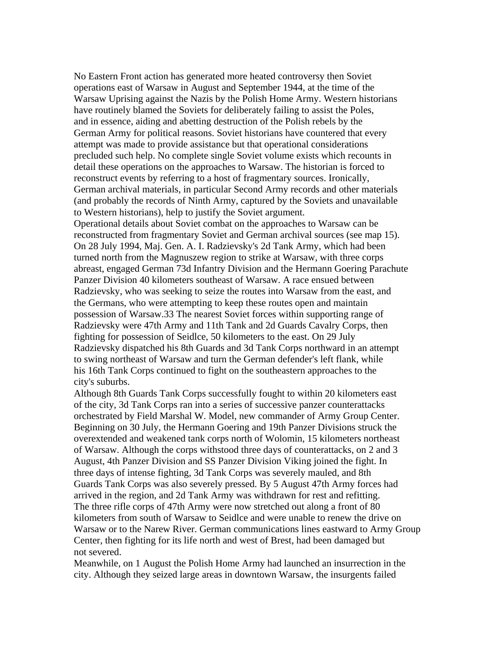No Eastern Front action has generated more heated controversy then Soviet operations east of Warsaw in August and September 1944, at the time of the Warsaw Uprising against the Nazis by the Polish Home Army. Western historians have routinely blamed the Soviets for deliberately failing to assist the Poles, and in essence, aiding and abetting destruction of the Polish rebels by the German Army for political reasons. Soviet historians have countered that every attempt was made to provide assistance but that operational considerations precluded such help. No complete single Soviet volume exists which recounts in detail these operations on the approaches to Warsaw. The historian is forced to reconstruct events by referring to a host of fragmentary sources. Ironically, German archival materials, in particular Second Army records and other materials (and probably the records of Ninth Army, captured by the Soviets and unavailable to Western historians), help to justify the Soviet argument.

Operational details about Soviet combat on the approaches to Warsaw can be reconstructed from fragmentary Soviet and German archival sources (see map 15). On 28 July 1994, Maj. Gen. A. I. Radzievsky's 2d Tank Army, which had been turned north from the Magnuszew region to strike at Warsaw, with three corps abreast, engaged German 73d Infantry Division and the Hermann Goering Parachute Panzer Division 40 kilometers southeast of Warsaw. A race ensued between Radzievsky, who was seeking to seize the routes into Warsaw from the east, and the Germans, who were attempting to keep these routes open and maintain possession of Warsaw.33 The nearest Soviet forces within supporting range of Radzievsky were 47th Army and 11th Tank and 2d Guards Cavalry Corps, then fighting for possession of Seidlce, 50 kilometers to the east. On 29 July Radzievsky dispatched his 8th Guards and 3d Tank Corps northward in an attempt to swing northeast of Warsaw and turn the German defender's left flank, while his 16th Tank Corps continued to fight on the southeastern approaches to the city's suburbs.

Although 8th Guards Tank Corps successfully fought to within 20 kilometers east of the city, 3d Tank Corps ran into a series of successive panzer counterattacks orchestrated by Field Marshal W. Model, new commander of Army Group Center. Beginning on 30 July, the Hermann Goering and 19th Panzer Divisions struck the overextended and weakened tank corps north of Wolomin, 15 kilometers northeast of Warsaw. Although the corps withstood three days of counterattacks, on 2 and 3 August, 4th Panzer Division and SS Panzer Division Viking joined the fight. In three days of intense fighting, 3d Tank Corps was severely mauled, and 8th Guards Tank Corps was also severely pressed. By 5 August 47th Army forces had arrived in the region, and 2d Tank Army was withdrawn for rest and refitting. The three rifle corps of 47th Army were now stretched out along a front of 80 kilometers from south of Warsaw to Seidlce and were unable to renew the drive on Warsaw or to the Narew River. German communications lines eastward to Army Group Center, then fighting for its life north and west of Brest, had been damaged but not severed.

Meanwhile, on 1 August the Polish Home Army had launched an insurrection in the city. Although they seized large areas in downtown Warsaw, the insurgents failed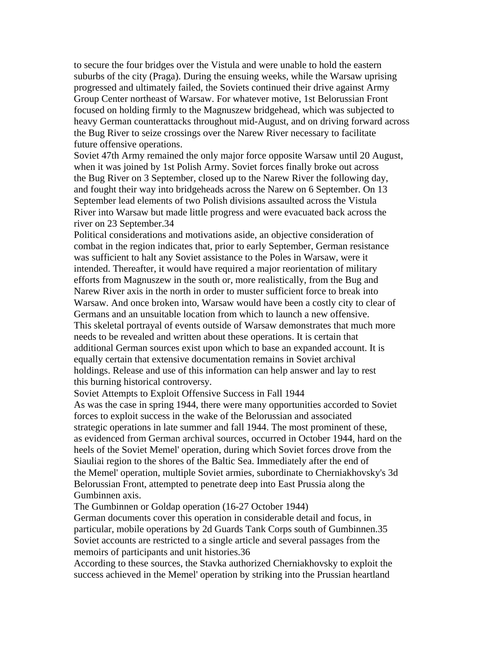to secure the four bridges over the Vistula and were unable to hold the eastern suburbs of the city (Praga). During the ensuing weeks, while the Warsaw uprising progressed and ultimately failed, the Soviets continued their drive against Army Group Center northeast of Warsaw. For whatever motive, 1st Belorussian Front focused on holding firmly to the Magnuszew bridgehead, which was subjected to heavy German counterattacks throughout mid-August, and on driving forward across the Bug River to seize crossings over the Narew River necessary to facilitate future offensive operations.

Soviet 47th Army remained the only major force opposite Warsaw until 20 August, when it was joined by 1st Polish Army. Soviet forces finally broke out across the Bug River on 3 September, closed up to the Narew River the following day, and fought their way into bridgeheads across the Narew on 6 September. On 13 September lead elements of two Polish divisions assaulted across the Vistula River into Warsaw but made little progress and were evacuated back across the river on 23 September.34

Political considerations and motivations aside, an objective consideration of combat in the region indicates that, prior to early September, German resistance was sufficient to halt any Soviet assistance to the Poles in Warsaw, were it intended. Thereafter, it would have required a major reorientation of military efforts from Magnuszew in the south or, more realistically, from the Bug and Narew River axis in the north in order to muster sufficient force to break into Warsaw. And once broken into, Warsaw would have been a costly city to clear of Germans and an unsuitable location from which to launch a new offensive. This skeletal portrayal of events outside of Warsaw demonstrates that much more needs to be revealed and written about these operations. It is certain that additional German sources exist upon which to base an expanded account. It is equally certain that extensive documentation remains in Soviet archival holdings. Release and use of this information can help answer and lay to rest this burning historical controversy.

Soviet Attempts to Exploit Offensive Success in Fall 1944

As was the case in spring 1944, there were many opportunities accorded to Soviet forces to exploit success in the wake of the Belorussian and associated strategic operations in late summer and fall 1944. The most prominent of these, as evidenced from German archival sources, occurred in October 1944, hard on the heels of the Soviet Memel' operation, during which Soviet forces drove from the Siauliai region to the shores of the Baltic Sea. Immediately after the end of the Memel' operation, multiple Soviet armies, subordinate to Cherniakhovsky's 3d Belorussian Front, attempted to penetrate deep into East Prussia along the Gumbinnen axis.

The Gumbinnen or Goldap operation (16-27 October 1944)

German documents cover this operation in considerable detail and focus, in particular, mobile operations by 2d Guards Tank Corps south of Gumbinnen.35 Soviet accounts are restricted to a single article and several passages from the memoirs of participants and unit histories.36

According to these sources, the Stavka authorized Cherniakhovsky to exploit the success achieved in the Memel' operation by striking into the Prussian heartland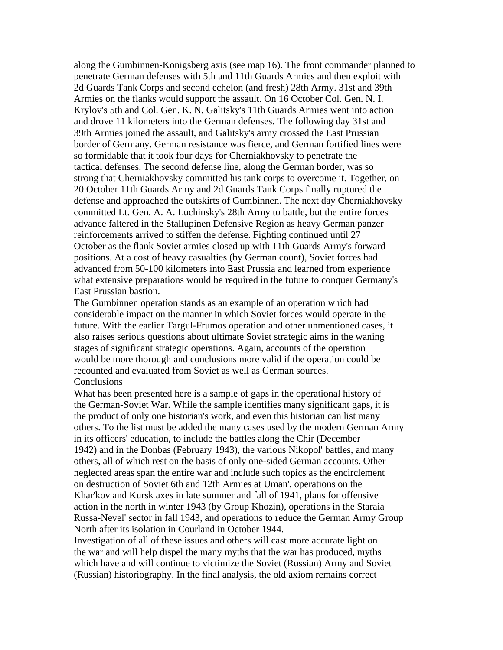along the Gumbinnen-Konigsberg axis (see map 16). The front commander planned to penetrate German defenses with 5th and 11th Guards Armies and then exploit with 2d Guards Tank Corps and second echelon (and fresh) 28th Army. 31st and 39th Armies on the flanks would support the assault. On 16 October Col. Gen. N. I. Krylov's 5th and Col. Gen. K. N. Galitsky's 11th Guards Armies went into action and drove 11 kilometers into the German defenses. The following day 31st and 39th Armies joined the assault, and Galitsky's army crossed the East Prussian border of Germany. German resistance was fierce, and German fortified lines were so formidable that it took four days for Cherniakhovsky to penetrate the tactical defenses. The second defense line, along the German border, was so strong that Cherniakhovsky committed his tank corps to overcome it. Together, on 20 October 11th Guards Army and 2d Guards Tank Corps finally ruptured the defense and approached the outskirts of Gumbinnen. The next day Cherniakhovsky committed Lt. Gen. A. A. Luchinsky's 28th Army to battle, but the entire forces' advance faltered in the Stallupinen Defensive Region as heavy German panzer reinforcements arrived to stiffen the defense. Fighting continued until 27 October as the flank Soviet armies closed up with 11th Guards Army's forward positions. At a cost of heavy casualties (by German count), Soviet forces had advanced from 50-100 kilometers into East Prussia and learned from experience what extensive preparations would be required in the future to conquer Germany's East Prussian bastion.

The Gumbinnen operation stands as an example of an operation which had considerable impact on the manner in which Soviet forces would operate in the future. With the earlier Targul-Frumos operation and other unmentioned cases, it also raises serious questions about ultimate Soviet strategic aims in the waning stages of significant strategic operations. Again, accounts of the operation would be more thorough and conclusions more valid if the operation could be recounted and evaluated from Soviet as well as German sources. **Conclusions** 

What has been presented here is a sample of gaps in the operational history of the German-Soviet War. While the sample identifies many significant gaps, it is the product of only one historian's work, and even this historian can list many others. To the list must be added the many cases used by the modern German Army in its officers' education, to include the battles along the Chir (December 1942) and in the Donbas (February 1943), the various Nikopol' battles, and many others, all of which rest on the basis of only one-sided German accounts. Other neglected areas span the entire war and include such topics as the encirclement on destruction of Soviet 6th and 12th Armies at Uman', operations on the Khar'kov and Kursk axes in late summer and fall of 1941, plans for offensive action in the north in winter 1943 (by Group Khozin), operations in the Staraia Russa-Nevel' sector in fall 1943, and operations to reduce the German Army Group North after its isolation in Courland in October 1944.

Investigation of all of these issues and others will cast more accurate light on the war and will help dispel the many myths that the war has produced, myths which have and will continue to victimize the Soviet (Russian) Army and Soviet (Russian) historiography. In the final analysis, the old axiom remains correct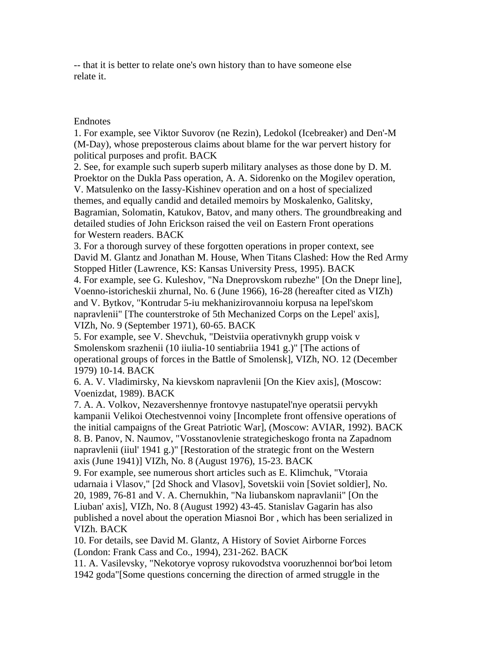-- that it is better to relate one's own history than to have someone else relate it.

## Endnotes

1. For example, see Viktor Suvorov (ne Rezin), Ledokol (Icebreaker) and Den'-M (M-Day), whose preposterous claims about blame for the war pervert history for political purposes and profit. BACK

2. See, for example such superb superb military analyses as those done by D. M. Proektor on the Dukla Pass operation, A. A. Sidorenko on the Mogilev operation, V. Matsulenko on the Iassy-Kishinev operation and on a host of specialized themes, and equally candid and detailed memoirs by Moskalenko, Galitsky, Bagramian, Solomatin, Katukov, Batov, and many others. The groundbreaking and detailed studies of John Erickson raised the veil on Eastern Front operations for Western readers. BACK

3. For a thorough survey of these forgotten operations in proper context, see David M. Glantz and Jonathan M. House, When Titans Clashed: How the Red Army Stopped Hitler (Lawrence, KS: Kansas University Press, 1995). BACK

4. For example, see G. Kuleshov, "Na Dneprovskom rubezhe" [On the Dnepr line], Voenno-istoricheskii zhurnal, No. 6 (June 1966), 16-28 (hereafter cited as VIZh) and V. Bytkov, "Kontrudar 5-iu mekhanizirovannoiu korpusa na lepel'skom napravlenii" [The counterstroke of 5th Mechanized Corps on the Lepel' axis], VIZh, No. 9 (September 1971), 60-65. BACK

5. For example, see V. Shevchuk, "Deistviia operativnykh grupp voisk v Smolenskom srazhenii (10 iiulia-10 sentiabriia 1941 g.)" [The actions of operational groups of forces in the Battle of Smolensk], VIZh, NO. 12 (December 1979) 10-14. BACK

6. A. V. Vladimirsky, Na kievskom napravlenii [On the Kiev axis], (Moscow: Voenizdat, 1989). BACK

7. A. A. Volkov, Nezavershennye frontovye nastupatel'nye operatsii pervykh kampanii Velikoi Otechestvennoi voiny [Incomplete front offensive operations of the initial campaigns of the Great Patriotic War], (Moscow: AVIAR, 1992). BACK 8. B. Panov, N. Naumov, "Vosstanovlenie strategicheskogo fronta na Zapadnom napravlenii (iiul' 1941 g.)" [Restoration of the strategic front on the Western axis (June 1941)] VIZh, No. 8 (August 1976), 15-23. BACK

9. For example, see numerous short articles such as E. Klimchuk, "Vtoraia udarnaia i Vlasov," [2d Shock and Vlasov], Sovetskii voin [Soviet soldier], No. 20, 1989, 76-81 and V. A. Chernukhin, "Na liubanskom napravlanii" [On the Liuban' axis], VIZh, No. 8 (August 1992) 43-45. Stanislav Gagarin has also published a novel about the operation Miasnoi Bor , which has been serialized in VIZh. BACK

10. For details, see David M. Glantz, A History of Soviet Airborne Forces (London: Frank Cass and Co., 1994), 231-262. BACK

11. A. Vasilevsky, "Nekotorye voprosy rukovodstva vooruzhennoi bor'boi letom 1942 goda"[Some questions concerning the direction of armed struggle in the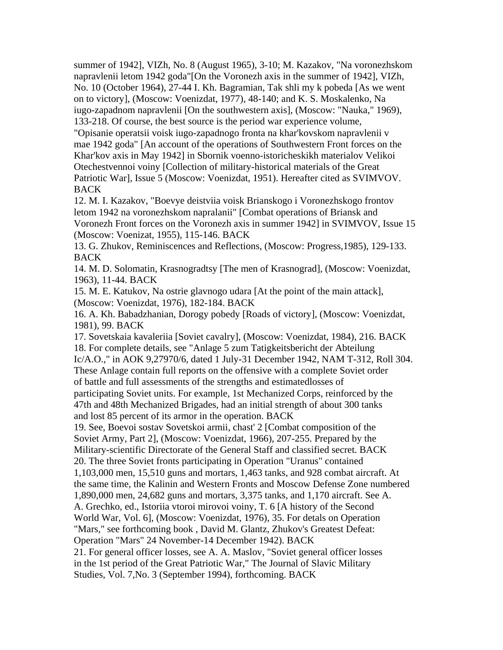summer of 1942], VIZh, No. 8 (August 1965), 3-10; M. Kazakov, "Na voronezhskom napravlenii letom 1942 goda"[On the Voronezh axis in the summer of 1942], VIZh, No. 10 (October 1964), 27-44 I. Kh. Bagramian, Tak shli my k pobeda [As we went on to victory], (Moscow: Voenizdat, 1977), 48-140; and K. S. Moskalenko, Na iugo-zapadnom napravlenii [On the southwestern axis], (Moscow: "Nauka," 1969), 133-218. Of course, the best source is the period war experience volume,

"Opisanie operatsii voisk iugo-zapadnogo fronta na khar'kovskom napravlenii v mae 1942 goda" [An account of the operations of Southwestern Front forces on the Khar'kov axis in May 1942] in Sbornik voenno-istoricheskikh materialov Velikoi Otechestvennoi voiny [Collection of military-historical materials of the Great Patriotic War], Issue 5 (Moscow: Voenizdat, 1951). Hereafter cited as SVIMVOV. BACK

12. M. I. Kazakov, "Boevye deistviia voisk Brianskogo i Voronezhskogo frontov letom 1942 na voronezhskom napralanii" [Combat operations of Briansk and Voronezh Front forces on the Voronezh axis in summer 1942] in SVIMVOV, Issue 15 (Moscow: Voenizat, 1955), 115-146. BACK

13. G. Zhukov, Reminiscences and Reflections, (Moscow: Progress,1985), 129-133. BACK

14. M. D. Solomatin, Krasnogradtsy [The men of Krasnograd], (Moscow: Voenizdat, 1963), 11-44. BACK

15. M. E. Katukov, Na ostrie glavnogo udara [At the point of the main attack], (Moscow: Voenizdat, 1976), 182-184. BACK

16. A. Kh. Babadzhanian, Dorogy pobedy [Roads of victory], (Moscow: Voenizdat, 1981), 99. BACK

17. Sovetskaia kavaleriia [Soviet cavalry], (Moscow: Voenizdat, 1984), 216. BACK 18. For complete details, see "Anlage 5 zum Tatigkeitsbericht der Abteilung Ic/A.O.," in AOK 9,27970/6, dated 1 July-31 December 1942, NAM T-312, Roll 304. These Anlage contain full reports on the offensive with a complete Soviet order of battle and full assessments of the strengths and estimatedlosses of participating Soviet units. For example, 1st Mechanized Corps, reinforced by the 47th and 48th Mechanized Brigades, had an initial strength of about 300 tanks and lost 85 percent of its armor in the operation. BACK

19. See, Boevoi sostav Sovetskoi armii, chast' 2 [Combat composition of the Soviet Army, Part 2], (Moscow: Voenizdat, 1966), 207-255. Prepared by the Military-scientific Directorate of the General Staff and classified secret. BACK 20. The three Soviet fronts participating in Operation "Uranus" contained 1,103,000 men, 15,510 guns and mortars, 1,463 tanks, and 928 combat aircraft. At the same time, the Kalinin and Western Fronts and Moscow Defense Zone numbered 1,890,000 men, 24,682 guns and mortars, 3,375 tanks, and 1,170 aircraft. See A. A. Grechko, ed., Istoriia vtoroi mirovoi voiny, T. 6 [A history of the Second World War, Vol. 6], (Moscow: Voenizdat, 1976), 35. For detals on Operation "Mars," see forthcoming book , David M. Glantz, Zhukov's Greatest Defeat: Operation "Mars" 24 November-14 December 1942). BACK 21. For general officer losses, see A. A. Maslov, "Soviet general officer losses in the 1st period of the Great Patriotic War," The Journal of Slavic Military Studies, Vol. 7,No. 3 (September 1994), forthcoming. BACK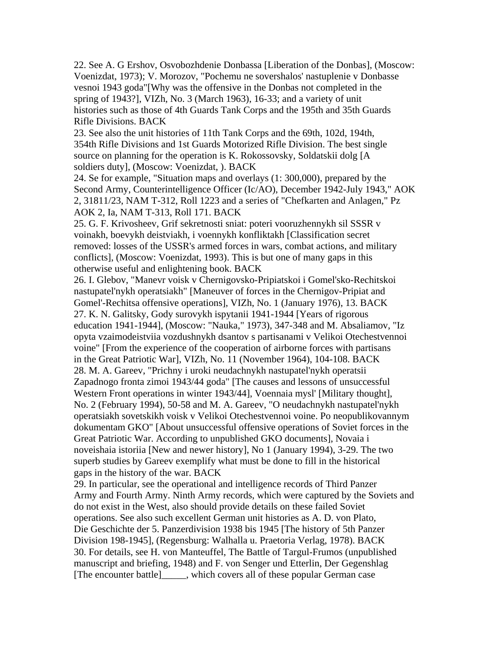22. See A. G Ershov, Osvobozhdenie Donbassa [Liberation of the Donbas], (Moscow: Voenizdat, 1973); V. Morozov, "Pochemu ne sovershalos' nastuplenie v Donbasse vesnoi 1943 goda"[Why was the offensive in the Donbas not completed in the spring of 1943?], VIZh, No. 3 (March 1963), 16-33; and a variety of unit histories such as those of 4th Guards Tank Corps and the 195th and 35th Guards Rifle Divisions. BACK

23. See also the unit histories of 11th Tank Corps and the 69th, 102d, 194th, 354th Rifle Divisions and 1st Guards Motorized Rifle Division. The best single source on planning for the operation is K. Rokossovsky, Soldatskii dolg [A soldiers duty], (Moscow: Voenizdat, ). BACK

24. Se for example, "Situation maps and overlays (1: 300,000), prepared by the Second Army, Counterintelligence Officer (Ic/AO), December 1942-July 1943," AOK 2, 31811/23, NAM T-312, Roll 1223 and a series of "Chefkarten and Anlagen," Pz AOK 2, Ia, NAM T-313, Roll 171. BACK

25. G. F. Krivosheev, Grif sekretnosti sniat: poteri vooruzhennykh sil SSSR v voinakh, boevykh deistviakh, i voennykh konfliktakh [Classification secret removed: losses of the USSR's armed forces in wars, combat actions, and military conflicts], (Moscow: Voenizdat, 1993). This is but one of many gaps in this otherwise useful and enlightening book. BACK

26. I. Glebov, "Manevr voisk v Chernigovsko-Pripiatskoi i Gomel'sko-Rechitskoi nastupatel'nykh operatsiakh" [Maneuver of forces in the Chernigov-Pripiat and Gomel'-Rechitsa offensive operations], VIZh, No. 1 (January 1976), 13. BACK 27. K. N. Galitsky, Gody surovykh ispytanii 1941-1944 [Years of rigorous education 1941-1944], (Moscow: "Nauka," 1973), 347-348 and M. Absaliamov, "Iz opyta vzaimodeistviia vozdushnykh dsantov s partisanami v Velikoi Otechestvennoi voine" [From the experience of the cooperation of airborne forces with partisans in the Great Patriotic War], VIZh, No. 11 (November 1964), 104-108. BACK 28. M. A. Gareev, "Prichny i uroki neudachnykh nastupatel'nykh operatsii Zapadnogo fronta zimoi 1943/44 goda" [The causes and lessons of unsuccessful Western Front operations in winter 1943/44], Voennaia mysl' [Military thought], No. 2 (February 1994), 50-58 and M. A. Gareev, "O neudachnykh nastupatel'nykh operatsiakh sovetskikh voisk v Velikoi Otechestvennoi voine. Po neopublikovannym dokumentam GKO" [About unsuccessful offensive operations of Soviet forces in the Great Patriotic War. According to unpublished GKO documents], Novaia i noveishaia istoriia [New and newer history], No 1 (January 1994), 3-29. The two superb studies by Gareev exemplify what must be done to fill in the historical gaps in the history of the war. BACK

29. In particular, see the operational and intelligence records of Third Panzer Army and Fourth Army. Ninth Army records, which were captured by the Soviets and do not exist in the West, also should provide details on these failed Soviet operations. See also such excellent German unit histories as A. D. von Plato, Die Geschichte der 5. Panzerdivision 1938 bis 1945 [The history of 5th Panzer Division 198-1945], (Regensburg: Walhalla u. Praetoria Verlag, 1978). BACK 30. For details, see H. von Manteuffel, The Battle of Targul-Frumos (unpublished manuscript and briefing, 1948) and F. von Senger und Etterlin, Der Gegenshlag [The encounter battle]\_\_\_\_\_, which covers all of these popular German case